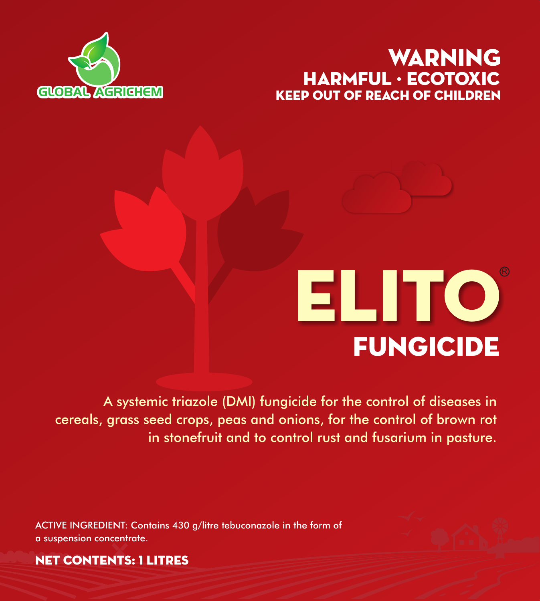# KEEP OUT OF REACH OF CHILDREN WARNING HARMFUL · ECOTOXIC





A systemic triazole (DMI) fungicide for the control of diseases in cereals, grass seed crops, peas and onions, for the control of brown rot in stonefruit and to control rust and fusarium in pasture.

ACTIVE INGREDIENT: Contains 430 g/litre tebuconazole in the form of a suspension concentrate.



NET CONTENTS: 1 litres